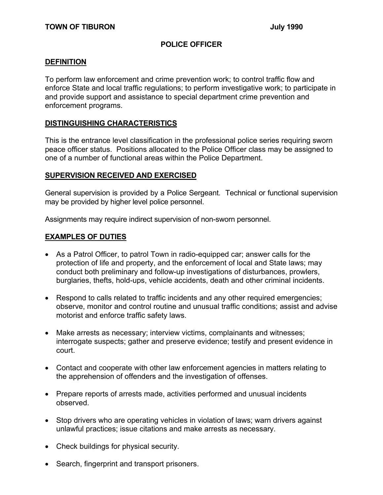## **POLICE OFFICER**

#### **DEFINITION**

To perform law enforcement and crime prevention work; to control traffic flow and enforce State and local traffic regulations; to perform investigative work; to participate in and provide support and assistance to special department crime prevention and enforcement programs.

#### **DISTINGUISHING CHARACTERISTICS**

This is the entrance level classification in the professional police series requiring sworn peace officer status. Positions allocated to the Police Officer class may be assigned to one of a number of functional areas within the Police Department.

#### **SUPERVISION RECEIVED AND EXERCISED**

General supervision is provided by a Police Sergeant. Technical or functional supervision may be provided by higher level police personnel.

Assignments may require indirect supervision of non-sworn personnel.

#### **EXAMPLES OF DUTIES**

- As a Patrol Officer, to patrol Town in radio-equipped car; answer calls for the protection of life and property, and the enforcement of local and State laws; may conduct both preliminary and follow-up investigations of disturbances, prowlers, burglaries, thefts, hold-ups, vehicle accidents, death and other criminal incidents.
- Respond to calls related to traffic incidents and any other required emergencies; observe, monitor and control routine and unusual traffic conditions; assist and advise motorist and enforce traffic safety laws.
- Make arrests as necessary; interview victims, complainants and witnesses; interrogate suspects; gather and preserve evidence; testify and present evidence in court.
- Contact and cooperate with other law enforcement agencies in matters relating to the apprehension of offenders and the investigation of offenses.
- Prepare reports of arrests made, activities performed and unusual incidents observed.
- Stop drivers who are operating vehicles in violation of laws; warn drivers against unlawful practices; issue citations and make arrests as necessary.
- Check buildings for physical security.
- Search, fingerprint and transport prisoners.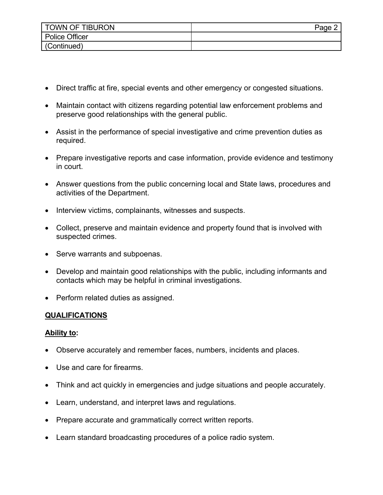| <b>TOWN OF TIBURON</b> | Page |
|------------------------|------|
| <b>Police Officer</b>  |      |
| (Continued)            |      |

- Direct traffic at fire, special events and other emergency or congested situations.
- Maintain contact with citizens regarding potential law enforcement problems and preserve good relationships with the general public.
- Assist in the performance of special investigative and crime prevention duties as required.
- Prepare investigative reports and case information, provide evidence and testimony in court.
- Answer questions from the public concerning local and State laws, procedures and activities of the Department.
- Interview victims, complainants, witnesses and suspects.
- Collect, preserve and maintain evidence and property found that is involved with suspected crimes.
- Serve warrants and subpoenas.
- Develop and maintain good relationships with the public, including informants and contacts which may be helpful in criminal investigations.
- Perform related duties as assigned.

## **QUALIFICATIONS**

## **Ability to:**

- Observe accurately and remember faces, numbers, incidents and places.
- Use and care for firearms.
- Think and act quickly in emergencies and judge situations and people accurately.
- Learn, understand, and interpret laws and regulations.
- Prepare accurate and grammatically correct written reports.
- Learn standard broadcasting procedures of a police radio system.